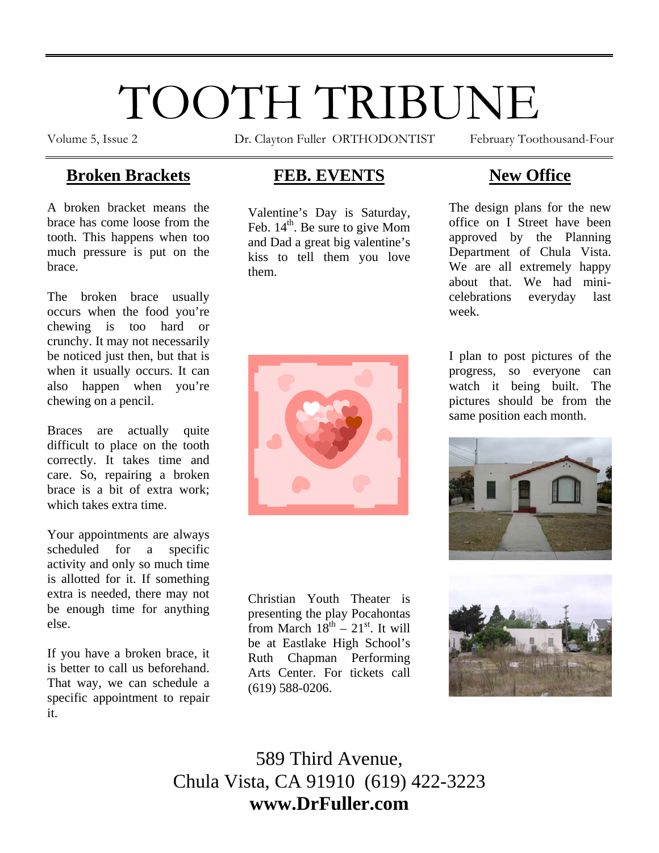# TOOTH TRIBUNE

Volume 5, Issue 2 Dr. Clayton Fuller ORTHODONTIST February Toothousand-Four

## **Broken Brackets**

A broken bracket means the brace has come loose from the tooth. This happens when too much pressure is put on the brace.

The broken brace usually occurs when the food you're chewing is too hard or crunchy. It may not necessarily be noticed just then, but that is when it usually occurs. It can also happen when you're chewing on a pencil.

Braces are actually quite difficult to place on the tooth correctly. It takes time and care. So, repairing a broken brace is a bit of extra work; which takes extra time.

Your appointments are always scheduled for a specific activity and only so much time is allotted for it. If something extra is needed, there may not be enough time for anything else.

If you have a broken brace, it is better to call us beforehand. That way, we can schedule a specific appointment to repair it.

## **FEB. EVENTS**

Valentine's Day is Saturday, Feb.  $14<sup>th</sup>$ . Be sure to give Mom and Dad a great big valentine's kiss to tell them you love them.



Christian Youth Theater is presenting the play Pocahontas from March  $18^{th}$  –  $21^{st}$ . It will be at Eastlake High School's Ruth Chapman Performing Arts Center. For tickets call (619) 588-0206.

## **New Office**

The design plans for the new office on I Street have been approved by the Planning Department of Chula Vista. We are all extremely happy about that. We had minicelebrations everyday last week.

I plan to post pictures of the progress, so everyone can watch it being built. The pictures should be from the same position each month.





589 Third Avenue, Chula Vista, CA 91910 (619) 422-3223 **www.DrFuller.com**